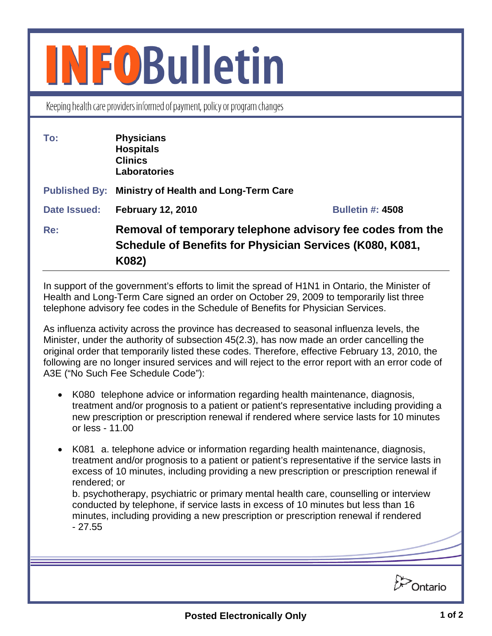## **INFOBulletin**

Keeping health care providers informed of payment, policy or program changes

| To:          | <b>Physicians</b><br><b>Hospitals</b><br><b>Clinics</b><br><b>Laboratories</b>                                                  |                         |
|--------------|---------------------------------------------------------------------------------------------------------------------------------|-------------------------|
|              | Published By: Ministry of Health and Long-Term Care                                                                             |                         |
| Date Issued: | <b>February 12, 2010</b>                                                                                                        | <b>Bulletin #: 4508</b> |
| Re:          | Removal of temporary telephone advisory fee codes from the<br>Schedule of Benefits for Physician Services (K080, K081,<br>K082) |                         |

In support of the government's efforts to limit the spread of H1N1 in Ontario, the Minister of Health and Long-Term Care signed an order on October 29, 2009 to temporarily list three telephone advisory fee codes in the Schedule of Benefits for Physician Services.

As influenza activity across the province has decreased to seasonal influenza levels, the Minister, under the authority of subsection 45(2.3), has now made an order cancelling the original order that temporarily listed these codes. Therefore, effective February 13, 2010, the following are no longer insured services and will reject to the error report with an error code of A3E ("No Such Fee Schedule Code"):

- K080 telephone advice or information regarding health maintenance, diagnosis, treatment and/or prognosis to a patient or patient's representative including providing a new prescription or prescription renewal if rendered where service lasts for 10 minutes or less - 11.00
- K081 a. telephone advice or information regarding health maintenance, diagnosis, treatment and/or prognosis to a patient or patient's representative if the service lasts in excess of 10 minutes, including providing a new prescription or prescription renewal if rendered; or

b. psychotherapy, psychiatric or primary mental health care, counselling or interview conducted by telephone, if service lasts in excess of 10 minutes but less than 16 minutes, including providing a new prescription or prescription renewal if rendered - 27.55